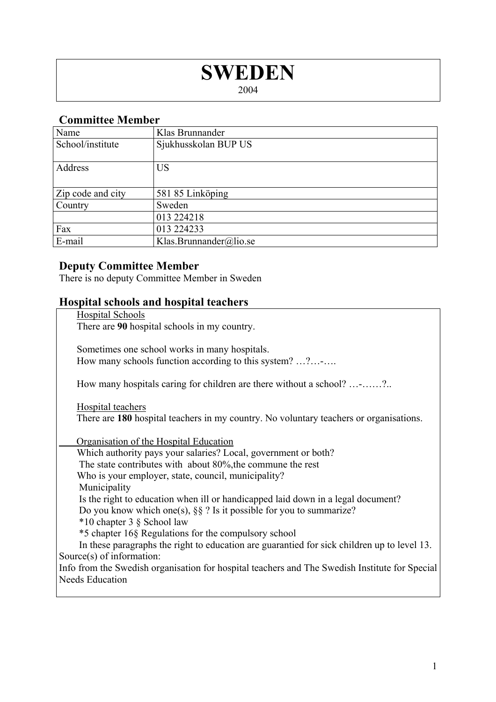# **SWEDEN**

2004

### **Committee Member**

| Name              | Klas Brunnander        |
|-------------------|------------------------|
| School/institute  | Sjukhusskolan BUP US   |
| Address           | <b>US</b>              |
| Zip code and city | 581 85 Linköping       |
| Country           | Sweden                 |
|                   | 013 224218             |
| Fax               | 013 224233             |
| E-mail            | Klas.Brunnander@lio.se |

#### **Deputy Committee Member**

There is no deputy Committee Member in Sweden

## **Hospital schools and hospital teachers**

| <b>Hospital Schools</b>                                                                                     |  |  |
|-------------------------------------------------------------------------------------------------------------|--|--|
| There are 90 hospital schools in my country.                                                                |  |  |
| Sometimes one school works in many hospitals.<br>How many schools function according to this system? ?      |  |  |
|                                                                                                             |  |  |
| How many hospitals caring for children are there without a school? -?                                       |  |  |
| Hospital teachers<br>There are 180 hospital teachers in my country. No voluntary teachers or organisations. |  |  |
| Organisation of the Hospital Education                                                                      |  |  |
| Which authority pays your salaries? Local, government or both?                                              |  |  |
| The state contributes with about 80%, the commune the rest                                                  |  |  |
| Who is your employer, state, council, municipality?                                                         |  |  |
| Municipality                                                                                                |  |  |
| Is the right to education when ill or handicapped laid down in a legal document?                            |  |  |
| Do you know which one(s), $\S\S$ ? Is it possible for you to summarize?                                     |  |  |
| *10 chapter 3 § School law                                                                                  |  |  |
| *5 chapter 16§ Regulations for the compulsory school                                                        |  |  |
| In these paragraphs the right to education are guarantied for sick children up to level 13.                 |  |  |
| Source $(s)$ of information:                                                                                |  |  |
| Info from the Swedish organisation for hospital teachers and The Swedish Institute for Special              |  |  |
| <b>Needs Education</b>                                                                                      |  |  |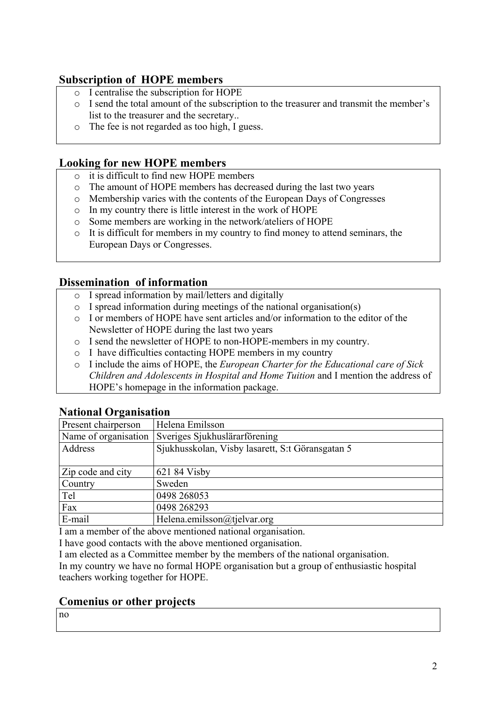#### **Subscription of HOPE members**

- o I centralise the subscription for HOPE
- o I send the total amount of the subscription to the treasurer and transmit the member's list to the treasurer and the secretary..
- o The fee is not regarded as too high, I guess.

#### **Looking for new HOPE members**

- o it is difficult to find new HOPE members
- o The amount of HOPE members has decreased during the last two years
- o Membership varies with the contents of the European Days of Congresses
- o In my country there is little interest in the work of HOPE
- o Some members are working in the network/ateliers of HOPE
- o It is difficult for members in my country to find money to attend seminars, the European Days or Congresses.

#### **Dissemination of information**

- o I spread information by mail/letters and digitally
- $\circ$  I spread information during meetings of the national organisation(s)
- o I or members of HOPE have sent articles and/or information to the editor of the Newsletter of HOPE during the last two years
- o I send the newsletter of HOPE to non-HOPE-members in my country.
- o I have difficulties contacting HOPE members in my country
- o I include the aims of HOPE, the *European Charter for the Educational care of Sick Children and Adolescents in Hospital and Home Tuition* and I mention the address of HOPE's homepage in the information package.

| Thursday of Campation |                                                  |
|-----------------------|--------------------------------------------------|
| Present chairperson   | Helena Emilsson                                  |
| Name of organisation  | Sveriges Sjukhuslärarförening                    |
| Address               | Sjukhusskolan, Visby lasarett, S:t Göransgatan 5 |
|                       |                                                  |
| Zip code and city     | 621 84 Visby                                     |
| Country               | Sweden                                           |
| Tel                   | 0498 268053                                      |
| Fax                   | 0498 268293                                      |
| E-mail                | Helena.emilsson@tjelvar.org                      |

#### **National Organisation**

I am a member of the above mentioned national organisation.

I have good contacts with the above mentioned organisation.

I am elected as a Committee member by the members of the national organisation.

In my country we have no formal HOPE organisation but a group of enthusiastic hospital teachers working together for HOPE.

#### **Comenius or other projects**

no